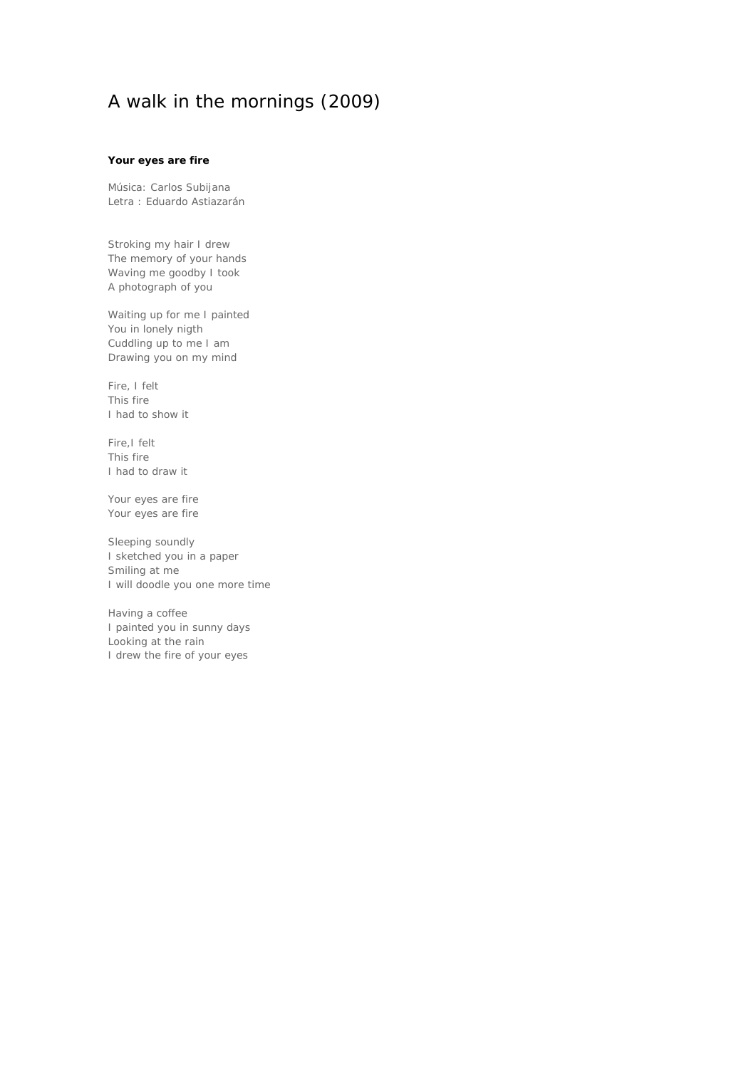# A walk in the mornings (2009)

#### **Your eyes are fire**

Música: Carlos Subijana Letra : Eduardo Astiazarán

Stroking my hair I drew The memory of your hands Waving me goodby I took A photograph of you

Waiting up for me I painted You in lonely nigth Cuddling up to me I am Drawing you on my mind

Fire, I felt This fire I had to show it

Fire,I felt This fire I had to draw it

Your eyes are fire Your eyes are fire

Sleeping soundly I sketched you in a paper Smiling at me I will doodle you one more time

Having a coffee I painted you in sunny days Looking at the rain I drew the fire of your eyes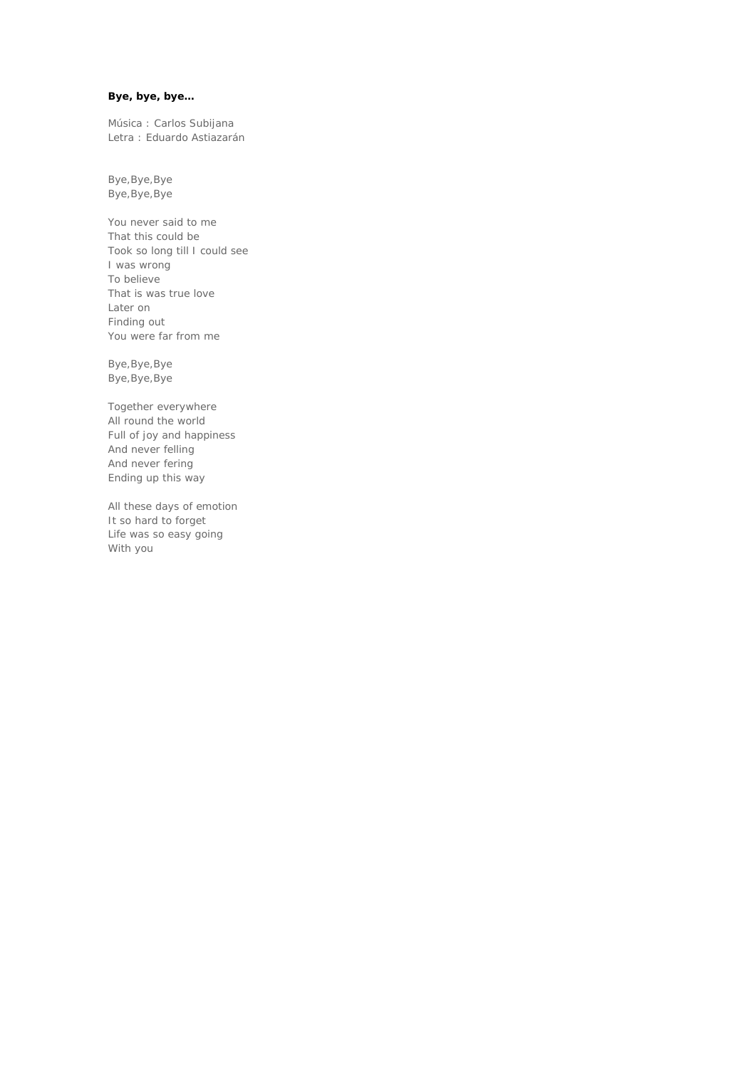## **Bye, bye, bye…**

Música : Carlos Subijana Letra : Eduardo Astiazarán

Bye,Bye,Bye Bye,Bye,Bye

You never said to me That this could be Took so long till I could see I was wrong To believe That is was true love Later on Finding out You were far from me

Bye,Bye,Bye Bye,Bye,Bye

Together everywhere All round the world Full of joy and happiness And never felling And never fering Ending up this way

All these days of emotion It so hard to forget Life was so easy going With you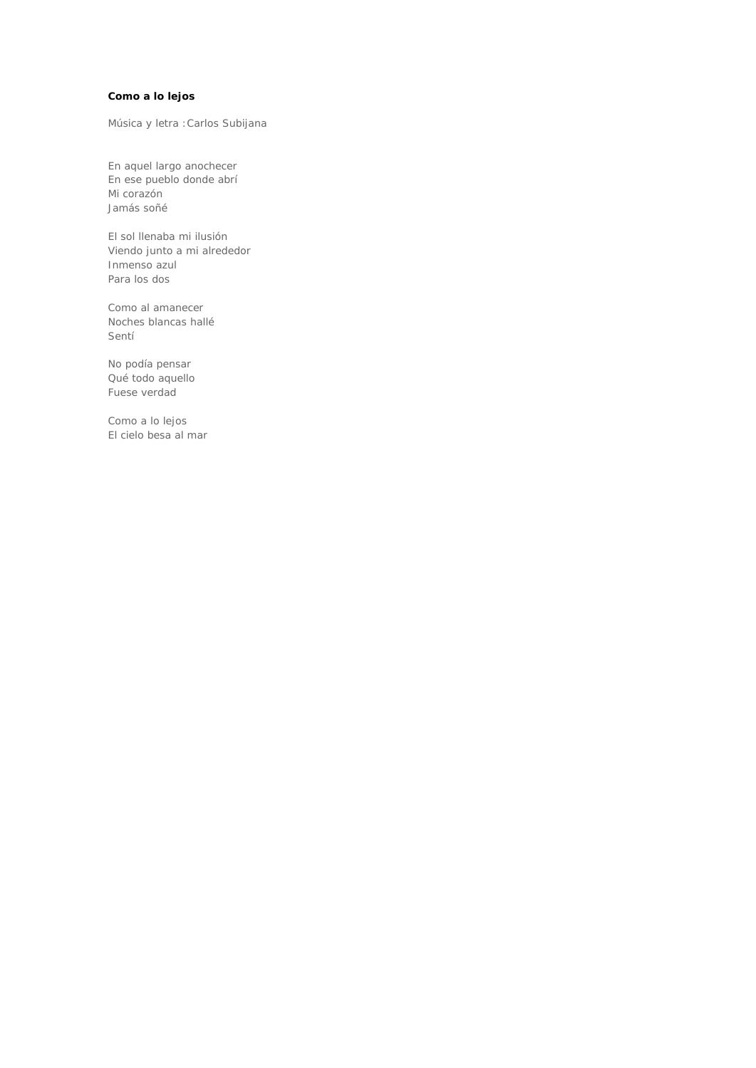## **Como a lo lejos**

Música y letra :Carlos Subijana

En aquel largo anochecer En ese pueblo donde abrí Mi corazón Jamás soñé

El sol llenaba mi ilusión Viendo junto a mi alrededor Inmenso azul Para los dos

Como al amanecer Noches blancas hallé Sentí

No podía pensar Qué todo aquello Fuese verdad

Como a lo lejos El cielo besa al mar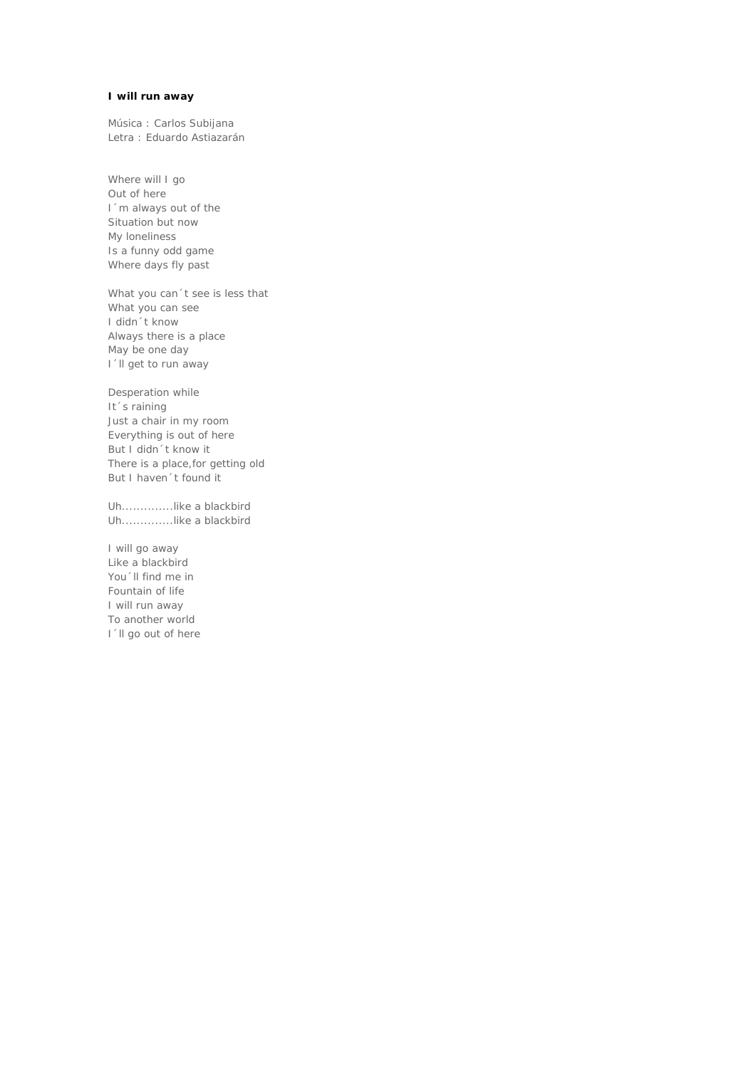### **I will run away**

Música : Carlos Subijana Letra : Eduardo Astiazarán

Where will I go Out of here I´m always out of the Situation but now My loneliness Is a funny odd game Where days fly past

What you can't see is less that What you can see I didn´t know Always there is a place May be one day I'll get to run away

Desperation while It's raining Just a chair in my room Everything is out of here But I didn´t know it There is a place,for getting old But I haven´t found it

Uh..............like a blackbird Uh..............like a blackbird

I will go away Like a blackbird You 'll find me in Fountain of life I will run away To another world I'll go out of here